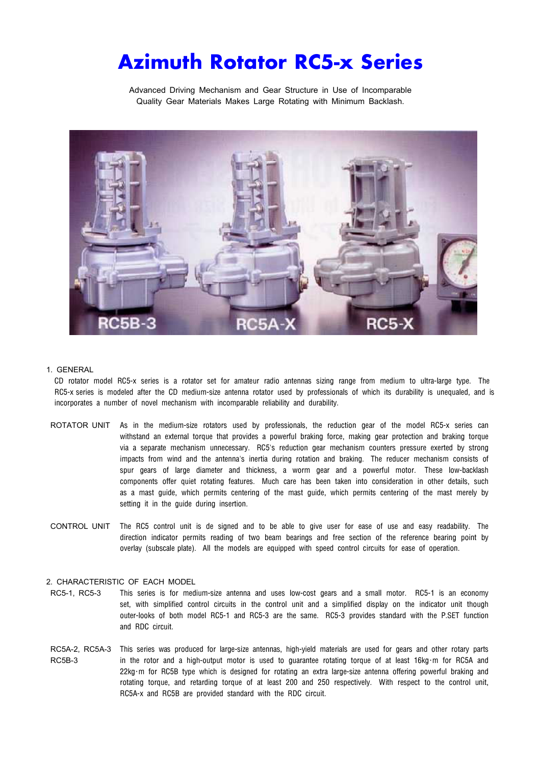# Azimuth Rotator RC5-x Series

Advanced Driving Mechanism and Gear Structure in Use of Incomparable Quality Gear Materials Makes Large Rotating with Minimum Backlash.



## 1. GENERAL

CD rotator model RC5-x series is a rotator set for amateur radio antennas sizing range from medium to ultra-large type. The RC5-x series is modeled after the CD medium-size antenna rotator used by professionals of which its durability is unequaled, and is incorporates a number of novel mechanism with incomparable reliability and durability.

- ROTATOR UNIT As in the medium-size rotators used by professionals, the reduction gear of the model RC5-x series can withstand an external torque that provides a powerful braking force, making gear protection and braking torque via a separate mechanism unnecessary. RC5's reduction gear mechanism counters pressure exerted by strong impacts from wind and the antenna's inertia during rotation and braking. The reducer mechanism consists of spur gears of large diameter and thickness, a worm gear and a powerful motor. These low-backlash components offer quiet rotating features. Much care has been taken into consideration in other details, such as a mast guide, which permits centering of the mast guide, which permits centering of the mast merely by setting it in the guide during insertion.
- CONTROL UNIT The RC5 control unit is de signed and to be able to give user for ease of use and easy readability. The direction indicator permits reading of two beam bearings and free section of the reference bearing point by overlay (subscale plate). All the models are equipped with speed control circuits for ease of operation.

# 2. CHARACTERISTIC OF EACH MODEL

- RC5-1, RC5-3 This series is for medium-size antenna and uses low-cost gears and a small motor. RC5-1 is an economy set, with simplified control circuits in the control unit and a simplified display on the indicator unit though outer-looks of both model RC5-1 and RC5-3 are the same. RC5-3 provides standard with the P.SET function and RDC circuit.
- RC5A-2, RC5A-3 This series was produced for large-size antennas, high-yield materials are used for gears and other rotary parts RC5B-3 in the rotor and a high-output motor is used to guarantee rotating torque of at least 16kg·m for RC5A and 22kg・m for RC5B type which is designed for rotating an extra large-size antenna offering powerful braking and rotating torque, and retarding torque of at least 200 and 250 respectively. With respect to the control unit, RC5A-x and RC5B are provided standard with the RDC circuit.